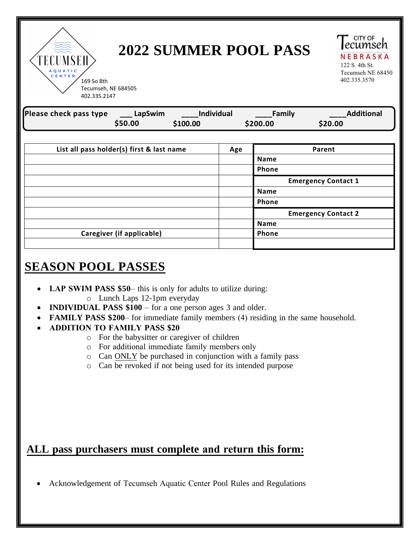TECUMSEH CENTER

# **2022 SUMMER POOL PASS**

ecumseh NEBRASKA 122 S. 4th St. Tecumseh NE 68450<br>402.335.3570

**CITY OF** 

169 So 8th 402.335.3570 Tecumseh, NE 684505 402.335.2147

| Please check pass type ___ LapSwim        |         | Individual |  | <b>Eamily</b>              | <b>Additional</b>          |
|-------------------------------------------|---------|------------|--|----------------------------|----------------------------|
|                                           | \$50.00 | \$100.00   |  | \$200.00                   | \$20.00                    |
|                                           |         |            |  |                            |                            |
| List all pass holder(s) first & last name |         | Age        |  | Parent                     |                            |
|                                           |         |            |  | <b>Name</b>                |                            |
|                                           |         |            |  | Phone                      |                            |
|                                           |         |            |  | <b>Emergency Contact 1</b> |                            |
|                                           |         |            |  | <b>Name</b>                |                            |
|                                           |         |            |  | Phone                      |                            |
|                                           |         |            |  |                            | <b>Emergency Contact 2</b> |
|                                           |         |            |  | <b>Name</b>                |                            |
| Caregiver (if applicable)                 |         |            |  | Phone                      |                            |
|                                           |         |            |  |                            |                            |

# **SEASON POOL PASSES**

- **LAP SWIM PASS \$50–** this is only for adults to utilize during:
	- o Lunch Laps 12-1pm everyday
- **INDIVIDUAL PASS \$100** for a one person ages 3 and older.
- **FAMILY PASS \$200** for immediate family members (4) residing in the same household.
- **ADDITION TO FAMILY PASS \$20**
	- o For the babysitter or caregiver of children
	- o For additional immediate family members only
	- o Can ONLY be purchased in conjunction with a family pass
	- o Can be revoked if not being used for its intended purpose

## **ALL pass purchasers must complete and return this form:**

• Acknowledgement of Tecumseh Aquatic Center Pool Rules and Regulations